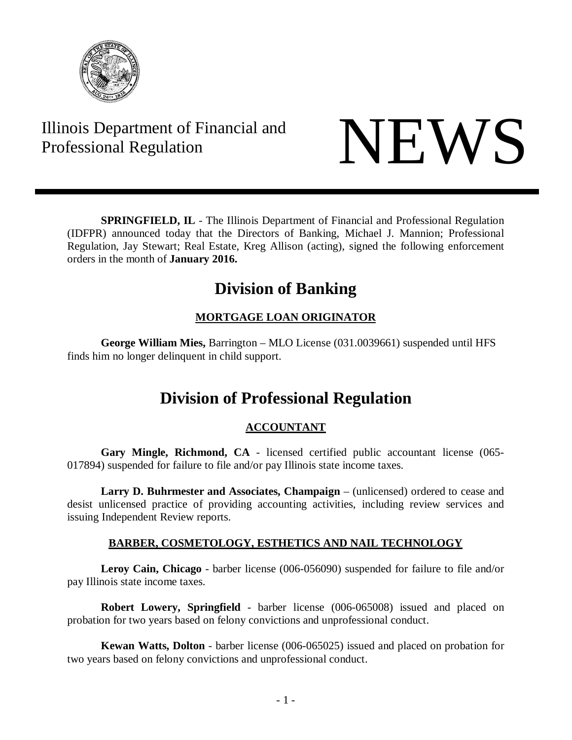

# Illinois Department of Financial and Illinois Department of Financial and<br>Professional Regulation

**SPRINGFIELD, IL** - The Illinois Department of Financial and Professional Regulation (IDFPR) announced today that the Directors of Banking, Michael J. Mannion; Professional Regulation, Jay Stewart; Real Estate, Kreg Allison (acting), signed the following enforcement orders in the month of **January 2016.**

# **Division of Banking**

## **MORTGAGE LOAN ORIGINATOR**

**George William Mies,** Barrington – MLO License (031.0039661) suspended until HFS finds him no longer delinquent in child support.

# **Division of Professional Regulation**

### **ACCOUNTANT**

**Gary Mingle, Richmond, CA** - licensed certified public accountant license (065- 017894) suspended for failure to file and/or pay Illinois state income taxes.

**Larry D. Buhrmester and Associates, Champaign** – (unlicensed) ordered to cease and desist unlicensed practice of providing accounting activities, including review services and issuing Independent Review reports.

### **BARBER, COSMETOLOGY, ESTHETICS AND NAIL TECHNOLOGY**

**Leroy Cain, Chicago** - barber license (006-056090) suspended for failure to file and/or pay Illinois state income taxes.

**Robert Lowery, Springfield** - barber license (006-065008) issued and placed on probation for two years based on felony convictions and unprofessional conduct.

**Kewan Watts, Dolton** - barber license (006-065025) issued and placed on probation for two years based on felony convictions and unprofessional conduct.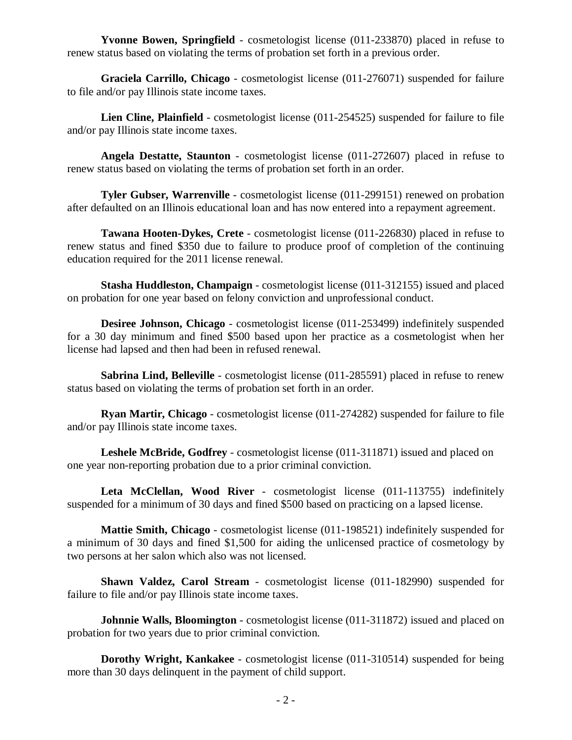**Yvonne Bowen, Springfield** - cosmetologist license (011-233870) placed in refuse to renew status based on violating the terms of probation set forth in a previous order.

**Graciela Carrillo, Chicago** - cosmetologist license (011-276071) suspended for failure to file and/or pay Illinois state income taxes.

**Lien Cline, Plainfield** - cosmetologist license (011-254525) suspended for failure to file and/or pay Illinois state income taxes.

**Angela Destatte, Staunton** - cosmetologist license (011-272607) placed in refuse to renew status based on violating the terms of probation set forth in an order.

**Tyler Gubser, Warrenville** - cosmetologist license (011-299151) renewed on probation after defaulted on an Illinois educational loan and has now entered into a repayment agreement.

**Tawana Hooten-Dykes, Crete** - cosmetologist license (011-226830) placed in refuse to renew status and fined \$350 due to failure to produce proof of completion of the continuing education required for the 2011 license renewal.

**Stasha Huddleston, Champaign** - cosmetologist license (011-312155) issued and placed on probation for one year based on felony conviction and unprofessional conduct.

**Desiree Johnson, Chicago** - cosmetologist license (011-253499) indefinitely suspended for a 30 day minimum and fined \$500 based upon her practice as a cosmetologist when her license had lapsed and then had been in refused renewal.

**Sabrina Lind, Belleville** - cosmetologist license (011-285591) placed in refuse to renew status based on violating the terms of probation set forth in an order.

**Ryan Martir, Chicago** - cosmetologist license (011-274282) suspended for failure to file and/or pay Illinois state income taxes.

**Leshele McBride, Godfrey** - cosmetologist license (011-311871) issued and placed on one year non-reporting probation due to a prior criminal conviction.

**Leta McClellan, Wood River** - cosmetologist license (011-113755) indefinitely suspended for a minimum of 30 days and fined \$500 based on practicing on a lapsed license.

**Mattie Smith, Chicago** - cosmetologist license (011-198521) indefinitely suspended for a minimum of 30 days and fined \$1,500 for aiding the unlicensed practice of cosmetology by two persons at her salon which also was not licensed.

**Shawn Valdez, Carol Stream** - cosmetologist license (011-182990) suspended for failure to file and/or pay Illinois state income taxes.

**Johnnie Walls, Bloomington** - cosmetologist license (011-311872) issued and placed on probation for two years due to prior criminal conviction.

**Dorothy Wright, Kankakee** - cosmetologist license (011-310514) suspended for being more than 30 days delinquent in the payment of child support.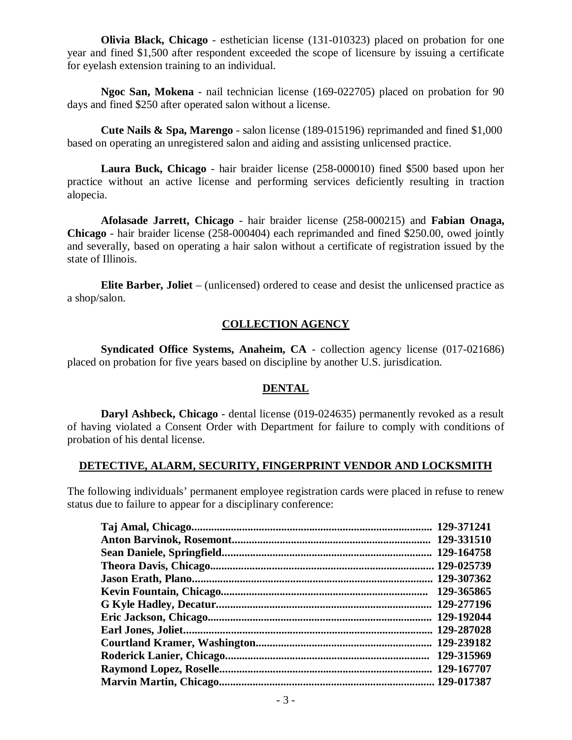**Olivia Black, Chicago** - esthetician license (131-010323) placed on probation for one year and fined \$1,500 after respondent exceeded the scope of licensure by issuing a certificate for eyelash extension training to an individual.

**Ngoc San, Mokena** - nail technician license (169-022705) placed on probation for 90 days and fined \$250 after operated salon without a license.

**Cute Nails & Spa, Marengo** - salon license (189-015196) reprimanded and fined \$1,000 based on operating an unregistered salon and aiding and assisting unlicensed practice.

**Laura Buck, Chicago** - hair braider license (258-000010) fined \$500 based upon her practice without an active license and performing services deficiently resulting in traction alopecia.

**Afolasade Jarrett, Chicago** - hair braider license (258-000215) and **Fabian Onaga, Chicago** - hair braider license (258-000404) each reprimanded and fined \$250.00, owed jointly and severally, based on operating a hair salon without a certificate of registration issued by the state of Illinois.

**Elite Barber, Joliet** – (unlicensed) ordered to cease and desist the unlicensed practice as a shop/salon.

### **COLLECTION AGENCY**

**Syndicated Office Systems, Anaheim, CA** - collection agency license (017-021686) placed on probation for five years based on discipline by another U.S. jurisdication.

#### **DENTAL**

**Daryl Ashbeck, Chicago** - dental license (019-024635) permanently revoked as a result of having violated a Consent Order with Department for failure to comply with conditions of probation of his dental license.

#### **DETECTIVE, ALARM, SECURITY, FINGERPRINT VENDOR AND LOCKSMITH**

The following individuals' permanent employee registration cards were placed in refuse to renew status due to failure to appear for a disciplinary conference:

| 129-371241 |
|------------|
| 129-331510 |
| 129-164758 |
| 129-025739 |
| 129-307362 |
| 129-365865 |
| 129-277196 |
| 129-192044 |
| 129-287028 |
| 129-239182 |
| 129-315969 |
| 129-167707 |
| 129-017387 |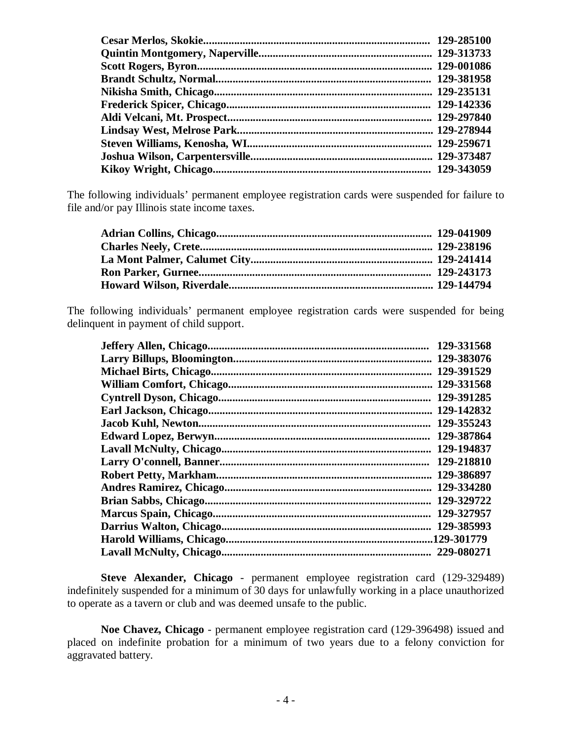| 129-285100 |
|------------|
|            |
| 129-001086 |
| 129-381958 |
| 129-235131 |
|            |
|            |
|            |
|            |
|            |
|            |
|            |

The following individuals' permanent employee registration cards were suspended for failure to file and/or pay Illinois state income taxes.

The following individuals' permanent employee registration cards were suspended for being delinquent in payment of child support.

|                               | 129-331568 |
|-------------------------------|------------|
|                               | 129-383076 |
|                               | 129-391529 |
|                               | 129-331568 |
|                               | 129-391285 |
|                               | 129-142832 |
|                               | 129-355243 |
|                               | 129-387864 |
|                               | 129-194837 |
|                               | 129-218810 |
| <b>Robert Petty, Markham.</b> | 129-386897 |
|                               | 129-334280 |
|                               | 129-329722 |
|                               | 129-327957 |
| Darrius Walton, Chicago       | 129-385993 |
| Harold Williams, Chicago      |            |
|                               | 229-080271 |

**Steve Alexander, Chicago** - permanent employee registration card (129-329489) indefinitely suspended for a minimum of 30 days for unlawfully working in a place unauthorized to operate as a tavern or club and was deemed unsafe to the public.

**Noe Chavez, Chicago** - permanent employee registration card (129-396498) issued and placed on indefinite probation for a minimum of two years due to a felony conviction for aggravated battery.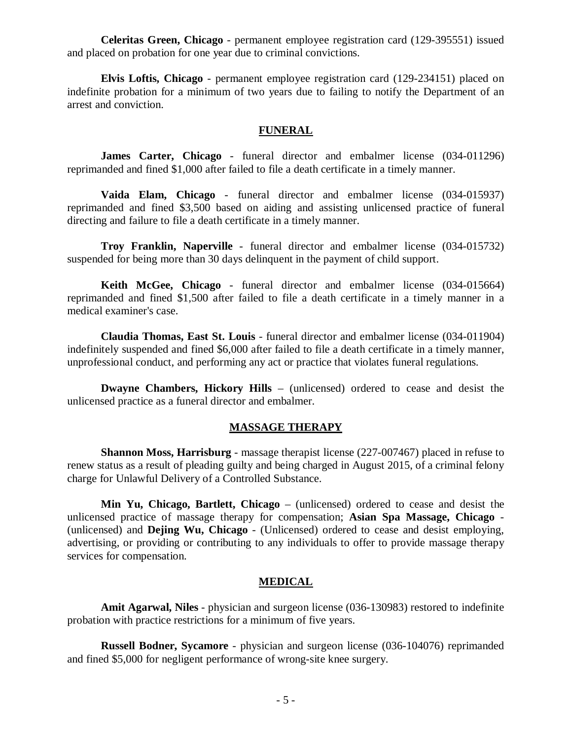**Celeritas Green, Chicago** - permanent employee registration card (129-395551) issued and placed on probation for one year due to criminal convictions.

**Elvis Loftis, Chicago** - permanent employee registration card (129-234151) placed on indefinite probation for a minimum of two years due to failing to notify the Department of an arrest and conviction.

#### **FUNERAL**

**James Carter, Chicago** - funeral director and embalmer license (034-011296) reprimanded and fined \$1,000 after failed to file a death certificate in a timely manner.

**Vaida Elam, Chicago** - funeral director and embalmer license (034-015937) reprimanded and fined \$3,500 based on aiding and assisting unlicensed practice of funeral directing and failure to file a death certificate in a timely manner.

**Troy Franklin, Naperville** - funeral director and embalmer license (034-015732) suspended for being more than 30 days delinquent in the payment of child support.

**Keith McGee, Chicago** - funeral director and embalmer license (034-015664) reprimanded and fined \$1,500 after failed to file a death certificate in a timely manner in a medical examiner's case.

**Claudia Thomas, East St. Louis** - funeral director and embalmer license (034-011904) indefinitely suspended and fined \$6,000 after failed to file a death certificate in a timely manner, unprofessional conduct, and performing any act or practice that violates funeral regulations.

**Dwayne Chambers, Hickory Hills** – (unlicensed) ordered to cease and desist the unlicensed practice as a funeral director and embalmer.

#### **MASSAGE THERAPY**

**Shannon Moss, Harrisburg** - massage therapist license (227-007467) placed in refuse to renew status as a result of pleading guilty and being charged in August 2015, of a criminal felony charge for Unlawful Delivery of a Controlled Substance.

**Min Yu, Chicago, Bartlett, Chicago** – (unlicensed) ordered to cease and desist the unlicensed practice of massage therapy for compensation; **Asian Spa Massage, Chicago** - (unlicensed) and **Dejing Wu, Chicago** - (Unlicensed) ordered to cease and desist employing, advertising, or providing or contributing to any individuals to offer to provide massage therapy services for compensation.

#### **MEDICAL**

**Amit Agarwal, Niles** - physician and surgeon license (036-130983) restored to indefinite probation with practice restrictions for a minimum of five years.

**Russell Bodner, Sycamore** - physician and surgeon license (036-104076) reprimanded and fined \$5,000 for negligent performance of wrong-site knee surgery.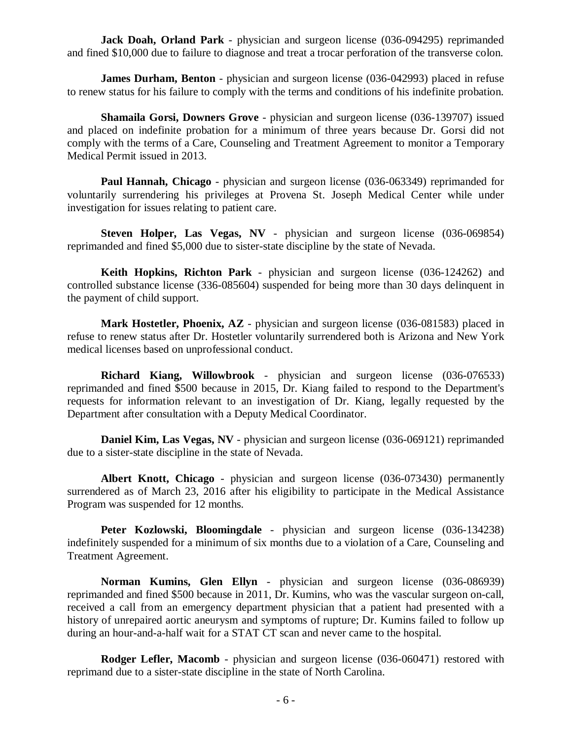**Jack Doah, Orland Park** - physician and surgeon license (036-094295) reprimanded and fined \$10,000 due to failure to diagnose and treat a trocar perforation of the transverse colon.

**James Durham, Benton** - physician and surgeon license (036-042993) placed in refuse to renew status for his failure to comply with the terms and conditions of his indefinite probation.

**Shamaila Gorsi, Downers Grove** - physician and surgeon license (036-139707) issued and placed on indefinite probation for a minimum of three years because Dr. Gorsi did not comply with the terms of a Care, Counseling and Treatment Agreement to monitor a Temporary Medical Permit issued in 2013.

**Paul Hannah, Chicago** - physician and surgeon license (036-063349) reprimanded for voluntarily surrendering his privileges at Provena St. Joseph Medical Center while under investigation for issues relating to patient care.

**Steven Holper, Las Vegas, NV** - physician and surgeon license (036-069854) reprimanded and fined \$5,000 due to sister-state discipline by the state of Nevada.

**Keith Hopkins, Richton Park** - physician and surgeon license (036-124262) and controlled substance license (336-085604) suspended for being more than 30 days delinquent in the payment of child support.

**Mark Hostetler, Phoenix, AZ** - physician and surgeon license (036-081583) placed in refuse to renew status after Dr. Hostetler voluntarily surrendered both is Arizona and New York medical licenses based on unprofessional conduct.

**Richard Kiang, Willowbrook** - physician and surgeon license (036-076533) reprimanded and fined \$500 because in 2015, Dr. Kiang failed to respond to the Department's requests for information relevant to an investigation of Dr. Kiang, legally requested by the Department after consultation with a Deputy Medical Coordinator.

**Daniel Kim, Las Vegas, NV** - physician and surgeon license (036-069121) reprimanded due to a sister-state discipline in the state of Nevada.

**Albert Knott, Chicago** - physician and surgeon license (036-073430) permanently surrendered as of March 23, 2016 after his eligibility to participate in the Medical Assistance Program was suspended for 12 months.

**Peter Kozlowski, Bloomingdale** - physician and surgeon license (036-134238) indefinitely suspended for a minimum of six months due to a violation of a Care, Counseling and Treatment Agreement.

**Norman Kumins, Glen Ellyn** - physician and surgeon license (036-086939) reprimanded and fined \$500 because in 2011, Dr. Kumins, who was the vascular surgeon on-call, received a call from an emergency department physician that a patient had presented with a history of unrepaired aortic aneurysm and symptoms of rupture; Dr. Kumins failed to follow up during an hour-and-a-half wait for a STAT CT scan and never came to the hospital.

**Rodger Lefler, Macomb** - physician and surgeon license (036-060471) restored with reprimand due to a sister-state discipline in the state of North Carolina.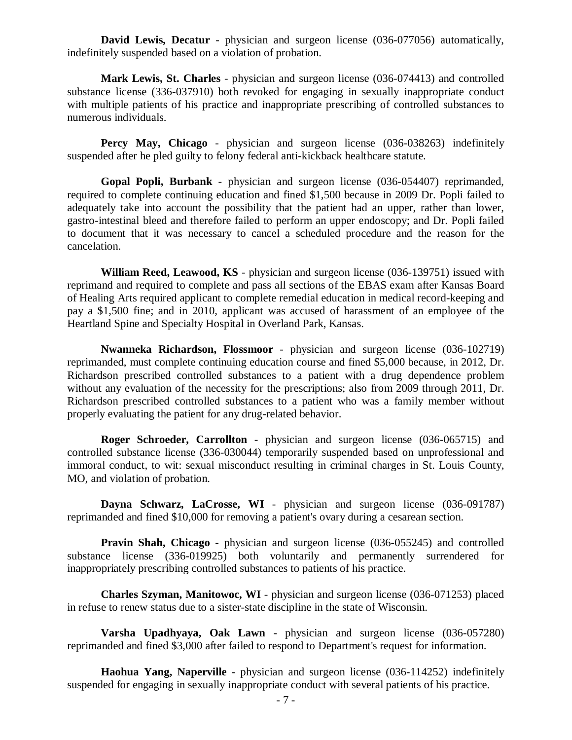**David Lewis, Decatur** - physician and surgeon license (036-077056) automatically, indefinitely suspended based on a violation of probation.

**Mark Lewis, St. Charles** - physician and surgeon license (036-074413) and controlled substance license (336-037910) both revoked for engaging in sexually inappropriate conduct with multiple patients of his practice and inappropriate prescribing of controlled substances to numerous individuals.

**Percy May, Chicago** - physician and surgeon license (036-038263) indefinitely suspended after he pled guilty to felony federal anti-kickback healthcare statute.

**Gopal Popli, Burbank** - physician and surgeon license (036-054407) reprimanded, required to complete continuing education and fined \$1,500 because in 2009 Dr. Popli failed to adequately take into account the possibility that the patient had an upper, rather than lower, gastro-intestinal bleed and therefore failed to perform an upper endoscopy; and Dr. Popli failed to document that it was necessary to cancel a scheduled procedure and the reason for the cancelation.

**William Reed, Leawood, KS** - physician and surgeon license (036-139751) issued with reprimand and required to complete and pass all sections of the EBAS exam after Kansas Board of Healing Arts required applicant to complete remedial education in medical record-keeping and pay a \$1,500 fine; and in 2010, applicant was accused of harassment of an employee of the Heartland Spine and Specialty Hospital in Overland Park, Kansas.

**Nwanneka Richardson, Flossmoor** - physician and surgeon license (036-102719) reprimanded, must complete continuing education course and fined \$5,000 because, in 2012, Dr. Richardson prescribed controlled substances to a patient with a drug dependence problem without any evaluation of the necessity for the prescriptions; also from 2009 through 2011, Dr. Richardson prescribed controlled substances to a patient who was a family member without properly evaluating the patient for any drug-related behavior.

**Roger Schroeder, Carrollton** - physician and surgeon license (036-065715) and controlled substance license (336-030044) temporarily suspended based on unprofessional and immoral conduct, to wit: sexual misconduct resulting in criminal charges in St. Louis County, MO, and violation of probation.

**Dayna Schwarz, LaCrosse, WI** - physician and surgeon license (036-091787) reprimanded and fined \$10,000 for removing a patient's ovary during a cesarean section.

**Pravin Shah, Chicago** - physician and surgeon license (036-055245) and controlled substance license (336-019925) both voluntarily and permanently surrendered for inappropriately prescribing controlled substances to patients of his practice.

**Charles Szyman, Manitowoc, WI** - physician and surgeon license (036-071253) placed in refuse to renew status due to a sister-state discipline in the state of Wisconsin.

**Varsha Upadhyaya, Oak Lawn** - physician and surgeon license (036-057280) reprimanded and fined \$3,000 after failed to respond to Department's request for information.

**Haohua Yang, Naperville** - physician and surgeon license (036-114252) indefinitely suspended for engaging in sexually inappropriate conduct with several patients of his practice.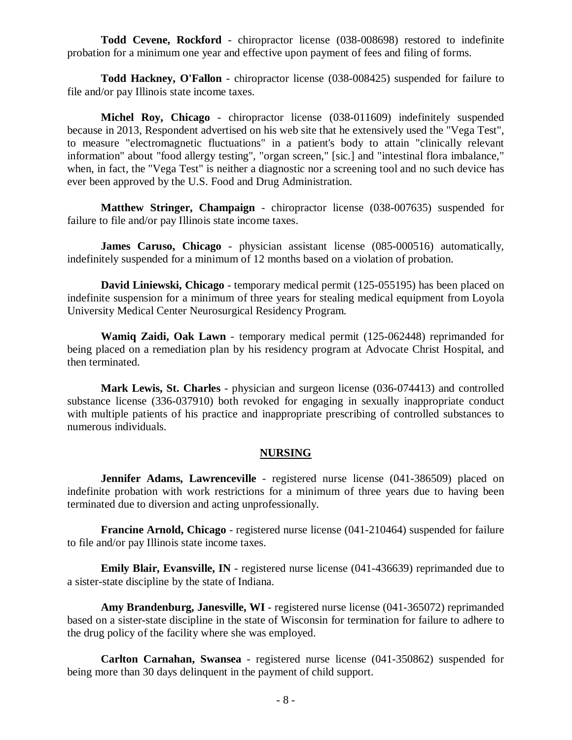**Todd Cevene, Rockford** - chiropractor license (038-008698) restored to indefinite probation for a minimum one year and effective upon payment of fees and filing of forms.

**Todd Hackney, O'Fallon** - chiropractor license (038-008425) suspended for failure to file and/or pay Illinois state income taxes.

**Michel Roy, Chicago** - chiropractor license (038-011609) indefinitely suspended because in 2013, Respondent advertised on his web site that he extensively used the "Vega Test", to measure "electromagnetic fluctuations" in a patient's body to attain "clinically relevant information" about "food allergy testing", "organ screen," [sic.] and "intestinal flora imbalance," when, in fact, the "Vega Test" is neither a diagnostic nor a screening tool and no such device has ever been approved by the U.S. Food and Drug Administration.

**Matthew Stringer, Champaign** - chiropractor license (038-007635) suspended for failure to file and/or pay Illinois state income taxes.

**James Caruso, Chicago** - physician assistant license (085-000516) automatically, indefinitely suspended for a minimum of 12 months based on a violation of probation.

**David Liniewski, Chicago** - temporary medical permit (125-055195) has been placed on indefinite suspension for a minimum of three years for stealing medical equipment from Loyola University Medical Center Neurosurgical Residency Program.

**Wamiq Zaidi, Oak Lawn** - temporary medical permit (125-062448) reprimanded for being placed on a remediation plan by his residency program at Advocate Christ Hospital, and then terminated.

**Mark Lewis, St. Charles** - physician and surgeon license (036-074413) and controlled substance license (336-037910) both revoked for engaging in sexually inappropriate conduct with multiple patients of his practice and inappropriate prescribing of controlled substances to numerous individuals.

#### **NURSING**

**Jennifer Adams, Lawrenceville** - registered nurse license (041-386509) placed on indefinite probation with work restrictions for a minimum of three years due to having been terminated due to diversion and acting unprofessionally.

**Francine Arnold, Chicago** - registered nurse license (041-210464) suspended for failure to file and/or pay Illinois state income taxes.

**Emily Blair, Evansville, IN** - registered nurse license (041-436639) reprimanded due to a sister-state discipline by the state of Indiana.

**Amy Brandenburg, Janesville, WI** - registered nurse license (041-365072) reprimanded based on a sister-state discipline in the state of Wisconsin for termination for failure to adhere to the drug policy of the facility where she was employed.

**Carlton Carnahan, Swansea** - registered nurse license (041-350862) suspended for being more than 30 days delinquent in the payment of child support.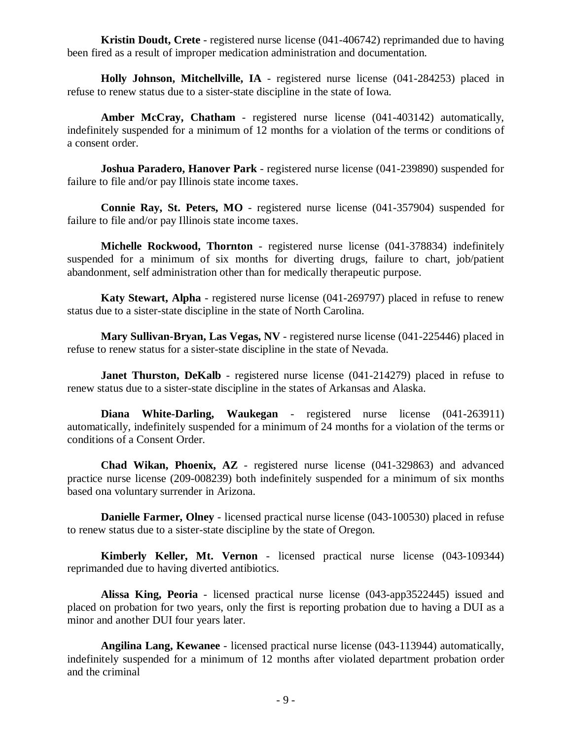**Kristin Doudt, Crete** - registered nurse license (041-406742) reprimanded due to having been fired as a result of improper medication administration and documentation.

**Holly Johnson, Mitchellville, IA** - registered nurse license (041-284253) placed in refuse to renew status due to a sister-state discipline in the state of Iowa.

**Amber McCray, Chatham** - registered nurse license (041-403142) automatically, indefinitely suspended for a minimum of 12 months for a violation of the terms or conditions of a consent order.

**Joshua Paradero, Hanover Park** - registered nurse license (041-239890) suspended for failure to file and/or pay Illinois state income taxes.

**Connie Ray, St. Peters, MO** - registered nurse license (041-357904) suspended for failure to file and/or pay Illinois state income taxes.

**Michelle Rockwood, Thornton** - registered nurse license (041-378834) indefinitely suspended for a minimum of six months for diverting drugs, failure to chart, job/patient abandonment, self administration other than for medically therapeutic purpose.

**Katy Stewart, Alpha** - registered nurse license (041-269797) placed in refuse to renew status due to a sister-state discipline in the state of North Carolina.

**Mary Sullivan-Bryan, Las Vegas, NV** - registered nurse license (041-225446) placed in refuse to renew status for a sister-state discipline in the state of Nevada.

**Janet Thurston, DeKalb** - registered nurse license (041-214279) placed in refuse to renew status due to a sister-state discipline in the states of Arkansas and Alaska.

**Diana White-Darling, Waukegan** - registered nurse license (041-263911) automatically, indefinitely suspended for a minimum of 24 months for a violation of the terms or conditions of a Consent Order.

**Chad Wikan, Phoenix, AZ** - registered nurse license (041-329863) and advanced practice nurse license (209-008239) both indefinitely suspended for a minimum of six months based ona voluntary surrender in Arizona.

**Danielle Farmer, Olney** - licensed practical nurse license (043-100530) placed in refuse to renew status due to a sister-state discipline by the state of Oregon.

**Kimberly Keller, Mt. Vernon** - licensed practical nurse license (043-109344) reprimanded due to having diverted antibiotics.

**Alissa King, Peoria** - licensed practical nurse license (043-app3522445) issued and placed on probation for two years, only the first is reporting probation due to having a DUI as a minor and another DUI four years later.

**Angilina Lang, Kewanee** - licensed practical nurse license (043-113944) automatically, indefinitely suspended for a minimum of 12 months after violated department probation order and the criminal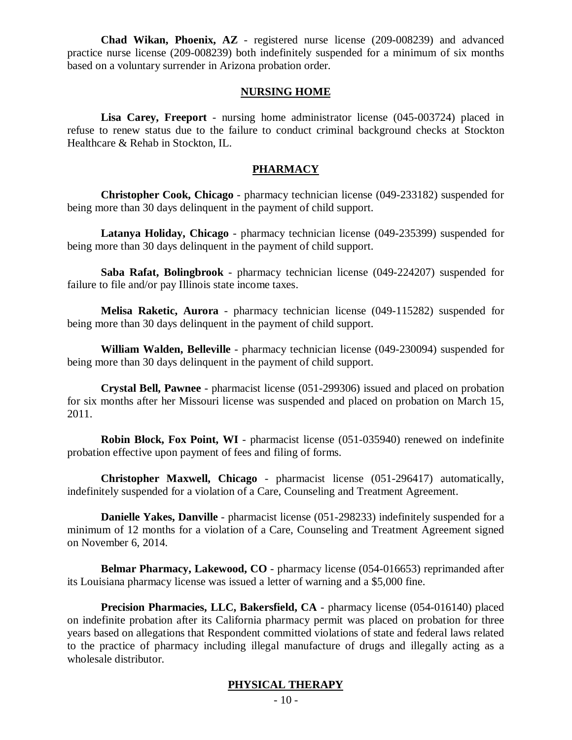**Chad Wikan, Phoenix, AZ** - registered nurse license (209-008239) and advanced practice nurse license (209-008239) both indefinitely suspended for a minimum of six months based on a voluntary surrender in Arizona probation order.

#### **NURSING HOME**

**Lisa Carey, Freeport** - nursing home administrator license (045-003724) placed in refuse to renew status due to the failure to conduct criminal background checks at Stockton Healthcare & Rehab in Stockton, IL.

#### **PHARMACY**

**Christopher Cook, Chicago** - pharmacy technician license (049-233182) suspended for being more than 30 days delinquent in the payment of child support.

**Latanya Holiday, Chicago** - pharmacy technician license (049-235399) suspended for being more than 30 days delinquent in the payment of child support.

**Saba Rafat, Bolingbrook** - pharmacy technician license (049-224207) suspended for failure to file and/or pay Illinois state income taxes.

**Melisa Raketic, Aurora** - pharmacy technician license (049-115282) suspended for being more than 30 days delinquent in the payment of child support.

**William Walden, Belleville** - pharmacy technician license (049-230094) suspended for being more than 30 days delinquent in the payment of child support.

**Crystal Bell, Pawnee** - pharmacist license (051-299306) issued and placed on probation for six months after her Missouri license was suspended and placed on probation on March 15, 2011.

**Robin Block, Fox Point, WI** - pharmacist license (051-035940) renewed on indefinite probation effective upon payment of fees and filing of forms.

**Christopher Maxwell, Chicago** - pharmacist license (051-296417) automatically, indefinitely suspended for a violation of a Care, Counseling and Treatment Agreement.

**Danielle Yakes, Danville** - pharmacist license (051-298233) indefinitely suspended for a minimum of 12 months for a violation of a Care, Counseling and Treatment Agreement signed on November 6, 2014.

**Belmar Pharmacy, Lakewood, CO** - pharmacy license (054-016653) reprimanded after its Louisiana pharmacy license was issued a letter of warning and a \$5,000 fine.

**Precision Pharmacies, LLC, Bakersfield, CA** - pharmacy license (054-016140) placed on indefinite probation after its California pharmacy permit was placed on probation for three years based on allegations that Respondent committed violations of state and federal laws related to the practice of pharmacy including illegal manufacture of drugs and illegally acting as a wholesale distributor.

### **PHYSICAL THERAPY**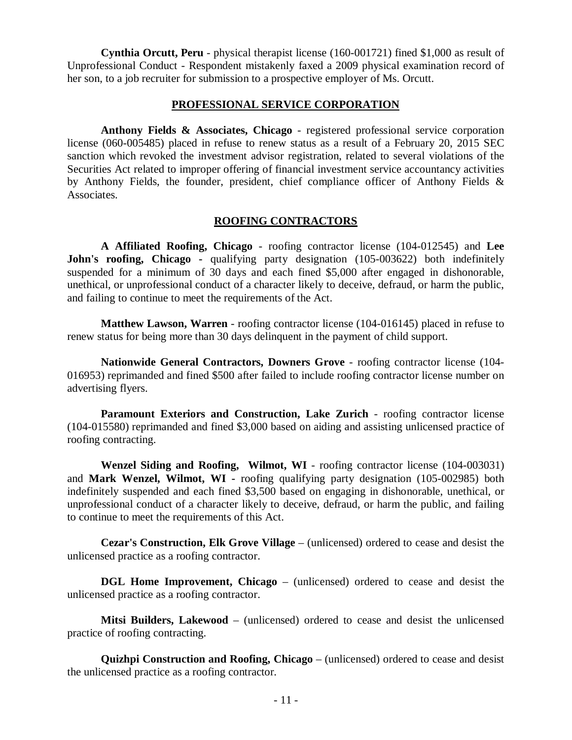**Cynthia Orcutt, Peru** - physical therapist license (160-001721) fined \$1,000 as result of Unprofessional Conduct - Respondent mistakenly faxed a 2009 physical examination record of her son, to a job recruiter for submission to a prospective employer of Ms. Orcutt.

#### **PROFESSIONAL SERVICE CORPORATION**

**Anthony Fields & Associates, Chicago** - registered professional service corporation license (060-005485) placed in refuse to renew status as a result of a February 20, 2015 SEC sanction which revoked the investment advisor registration, related to several violations of the Securities Act related to improper offering of financial investment service accountancy activities by Anthony Fields, the founder, president, chief compliance officer of Anthony Fields & Associates.

#### **ROOFING CONTRACTORS**

**A Affiliated Roofing, Chicago** - roofing contractor license (104-012545) and **Lee John's roofing, Chicago -** qualifying party designation (105-003622) both indefinitely suspended for a minimum of 30 days and each fined \$5,000 after engaged in dishonorable, unethical, or unprofessional conduct of a character likely to deceive, defraud, or harm the public, and failing to continue to meet the requirements of the Act.

**Matthew Lawson, Warren** - roofing contractor license (104-016145) placed in refuse to renew status for being more than 30 days delinquent in the payment of child support.

**Nationwide General Contractors, Downers Grove** - roofing contractor license (104- 016953) reprimanded and fined \$500 after failed to include roofing contractor license number on advertising flyers.

**Paramount Exteriors and Construction, Lake Zurich** - roofing contractor license (104-015580) reprimanded and fined \$3,000 based on aiding and assisting unlicensed practice of roofing contracting.

**Wenzel Siding and Roofing, Wilmot, WI** - roofing contractor license (104-003031) and **Mark Wenzel, Wilmot, WI -** roofing qualifying party designation (105-002985) both indefinitely suspended and each fined \$3,500 based on engaging in dishonorable, unethical, or unprofessional conduct of a character likely to deceive, defraud, or harm the public, and failing to continue to meet the requirements of this Act.

**Cezar's Construction, Elk Grove Village** – (unlicensed) ordered to cease and desist the unlicensed practice as a roofing contractor.

**DGL Home Improvement, Chicago** – (unlicensed) ordered to cease and desist the unlicensed practice as a roofing contractor.

**Mitsi Builders, Lakewood** – (unlicensed) ordered to cease and desist the unlicensed practice of roofing contracting.

**Quizhpi Construction and Roofing, Chicago** – (unlicensed) ordered to cease and desist the unlicensed practice as a roofing contractor.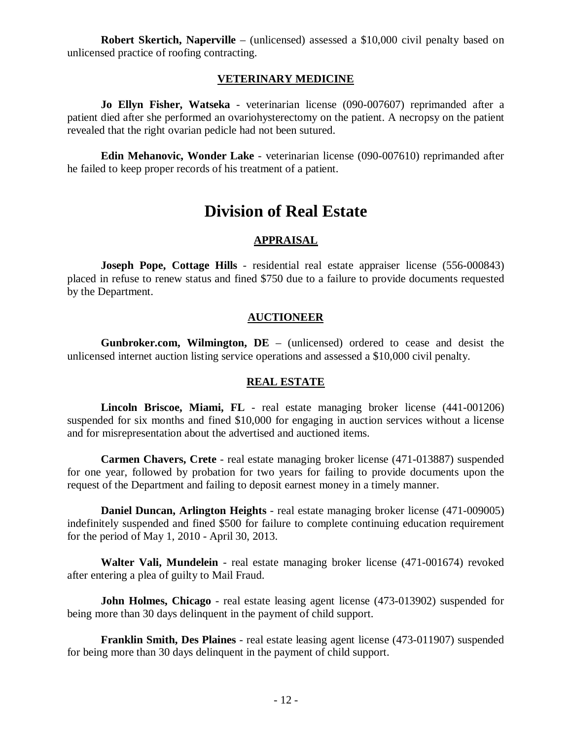**Robert Skertich, Naperville** – (unlicensed) assessed a \$10,000 civil penalty based on unlicensed practice of roofing contracting.

#### **VETERINARY MEDICINE**

**Jo Ellyn Fisher, Watseka** - veterinarian license (090-007607) reprimanded after a patient died after she performed an ovariohysterectomy on the patient. A necropsy on the patient revealed that the right ovarian pedicle had not been sutured.

**Edin Mehanovic, Wonder Lake** - veterinarian license (090-007610) reprimanded after he failed to keep proper records of his treatment of a patient.

# **Division of Real Estate**

### **APPRAISAL**

**Joseph Pope, Cottage Hills** - residential real estate appraiser license (556-000843) placed in refuse to renew status and fined \$750 due to a failure to provide documents requested by the Department.

#### **AUCTIONEER**

**Gunbroker.com, Wilmington, DE** – (unlicensed) ordered to cease and desist the unlicensed internet auction listing service operations and assessed a \$10,000 civil penalty.

#### **REAL ESTATE**

**Lincoln Briscoe, Miami, FL** - real estate managing broker license (441-001206) suspended for six months and fined \$10,000 for engaging in auction services without a license and for misrepresentation about the advertised and auctioned items.

**Carmen Chavers, Crete** - real estate managing broker license (471-013887) suspended for one year, followed by probation for two years for failing to provide documents upon the request of the Department and failing to deposit earnest money in a timely manner.

**Daniel Duncan, Arlington Heights** - real estate managing broker license (471-009005) indefinitely suspended and fined \$500 for failure to complete continuing education requirement for the period of May 1, 2010 - April 30, 2013.

**Walter Vali, Mundelein** - real estate managing broker license (471-001674) revoked after entering a plea of guilty to Mail Fraud.

**John Holmes, Chicago** - real estate leasing agent license (473-013902) suspended for being more than 30 days delinquent in the payment of child support.

**Franklin Smith, Des Plaines** - real estate leasing agent license (473-011907) suspended for being more than 30 days delinquent in the payment of child support.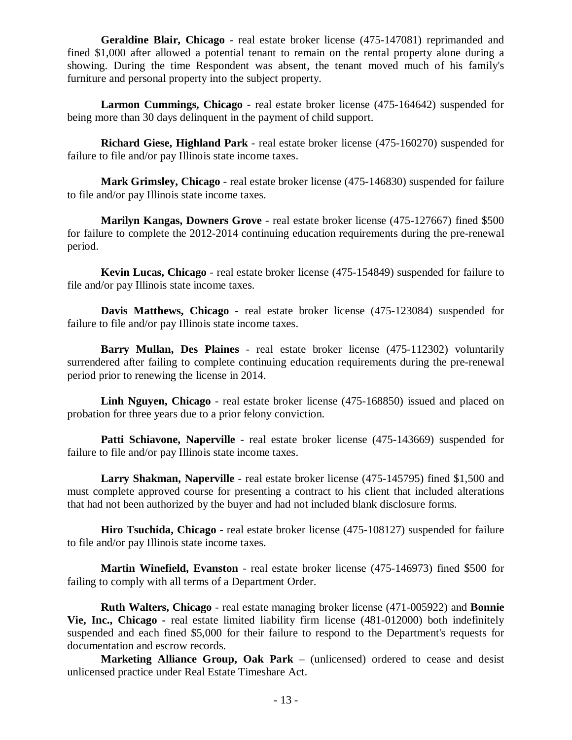**Geraldine Blair, Chicago** - real estate broker license (475-147081) reprimanded and fined \$1,000 after allowed a potential tenant to remain on the rental property alone during a showing. During the time Respondent was absent, the tenant moved much of his family's furniture and personal property into the subject property.

**Larmon Cummings, Chicago** - real estate broker license (475-164642) suspended for being more than 30 days delinquent in the payment of child support.

**Richard Giese, Highland Park** - real estate broker license (475-160270) suspended for failure to file and/or pay Illinois state income taxes.

**Mark Grimsley, Chicago** - real estate broker license (475-146830) suspended for failure to file and/or pay Illinois state income taxes.

**Marilyn Kangas, Downers Grove** - real estate broker license (475-127667) fined \$500 for failure to complete the 2012-2014 continuing education requirements during the pre-renewal period.

**Kevin Lucas, Chicago** - real estate broker license (475-154849) suspended for failure to file and/or pay Illinois state income taxes.

**Davis Matthews, Chicago** - real estate broker license (475-123084) suspended for failure to file and/or pay Illinois state income taxes.

**Barry Mullan, Des Plaines** - real estate broker license (475-112302) voluntarily surrendered after failing to complete continuing education requirements during the pre-renewal period prior to renewing the license in 2014.

**Linh Nguyen, Chicago** - real estate broker license (475-168850) issued and placed on probation for three years due to a prior felony conviction.

**Patti Schiavone, Naperville** - real estate broker license (475-143669) suspended for failure to file and/or pay Illinois state income taxes.

**Larry Shakman, Naperville** - real estate broker license (475-145795) fined \$1,500 and must complete approved course for presenting a contract to his client that included alterations that had not been authorized by the buyer and had not included blank disclosure forms.

**Hiro Tsuchida, Chicago** - real estate broker license (475-108127) suspended for failure to file and/or pay Illinois state income taxes.

**Martin Winefield, Evanston** - real estate broker license (475-146973) fined \$500 for failing to comply with all terms of a Department Order.

**Ruth Walters, Chicago** - real estate managing broker license (471-005922) and **Bonnie Vie, Inc., Chicago -** real estate limited liability firm license (481-012000) both indefinitely suspended and each fined \$5,000 for their failure to respond to the Department's requests for documentation and escrow records.

**Marketing Alliance Group, Oak Park** – (unlicensed) ordered to cease and desist unlicensed practice under Real Estate Timeshare Act.